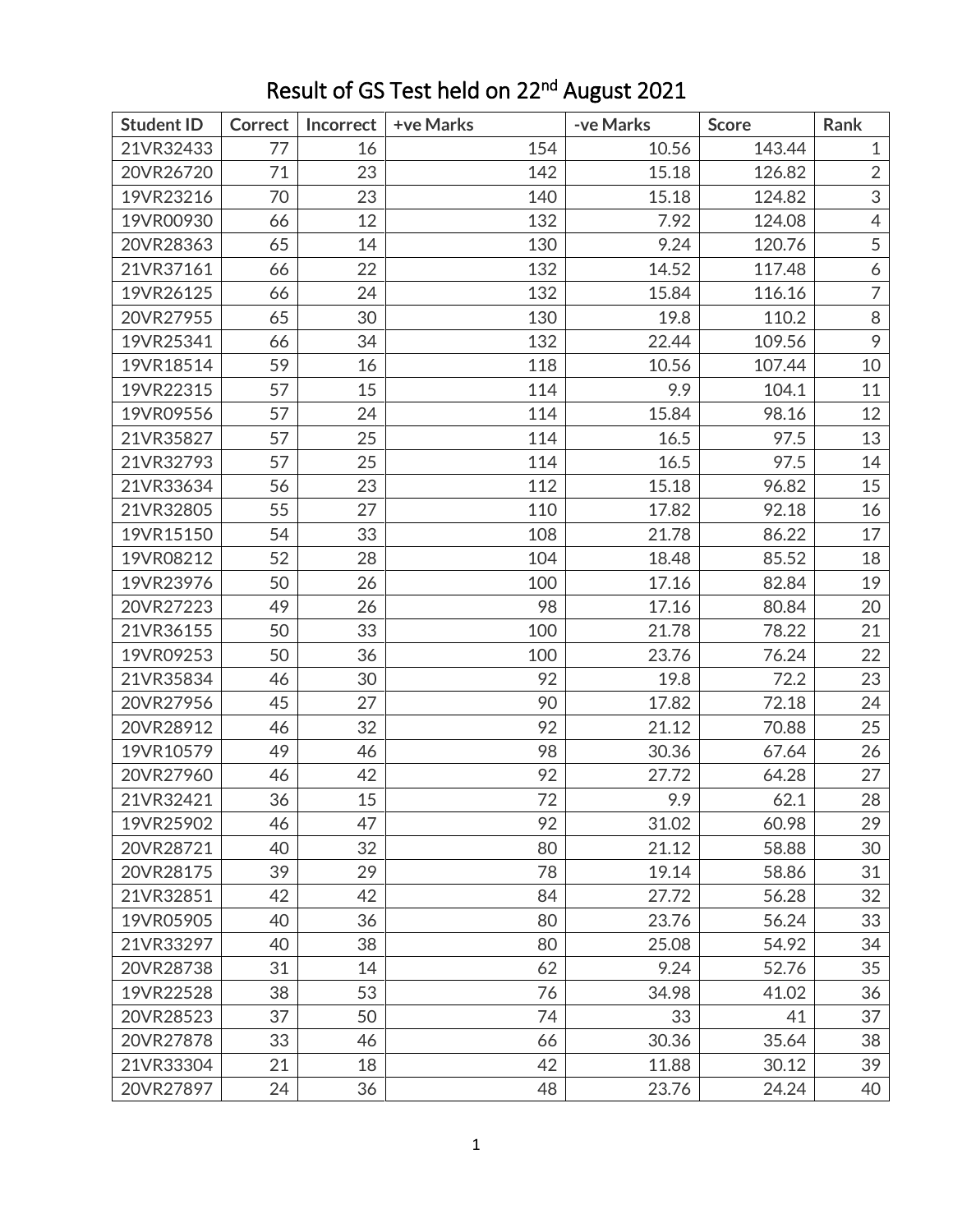| <b>Student ID</b> | <b>Correct</b> | Incorrect | +ve Marks | -ve Marks | <b>Score</b> | Rank             |
|-------------------|----------------|-----------|-----------|-----------|--------------|------------------|
| 21VR32433         | 77             | 16        | 154       | 10.56     | 143.44       | $\mathbf{1}$     |
| 20VR26720         | 71             | 23        | 142       | 15.18     | 126.82       | $\overline{2}$   |
| 19VR23216         | 70             | 23        | 140       | 15.18     | 124.82       | 3                |
| 19VR00930         | 66             | 12        | 132       | 7.92      | 124.08       | $\overline{4}$   |
| 20VR28363         | 65             | 14        | 130       | 9.24      | 120.76       | 5                |
| 21VR37161         | 66             | 22        | 132       | 14.52     | 117.48       | $\boldsymbol{6}$ |
| 19VR26125         | 66             | 24        | 132       | 15.84     | 116.16       | $\overline{7}$   |
| 20VR27955         | 65             | 30        | 130       | 19.8      | 110.2        | 8                |
| 19VR25341         | 66             | 34        | 132       | 22.44     | 109.56       | 9                |
| 19VR18514         | 59             | 16        | 118       | 10.56     | 107.44       | 10               |
| 19VR22315         | 57             | 15        | 114       | 9.9       | 104.1        | 11               |
| 19VR09556         | 57             | 24        | 114       | 15.84     | 98.16        | 12               |
| 21VR35827         | 57             | 25        | 114       | 16.5      | 97.5         | 13               |
| 21VR32793         | 57             | 25        | 114       | 16.5      | 97.5         | 14               |
| 21VR33634         | 56             | 23        | 112       | 15.18     | 96.82        | 15               |
| 21VR32805         | 55             | 27        | 110       | 17.82     | 92.18        | 16               |
| 19VR15150         | 54             | 33        | 108       | 21.78     | 86.22        | 17               |
| 19VR08212         | 52             | 28        | 104       | 18.48     | 85.52        | 18               |
| 19VR23976         | 50             | 26        | 100       | 17.16     | 82.84        | 19               |
| 20VR27223         | 49             | 26        | 98        | 17.16     | 80.84        | 20               |
| 21VR36155         | 50             | 33        | 100       | 21.78     | 78.22        | 21               |
| 19VR09253         | 50             | 36        | 100       | 23.76     | 76.24        | 22               |
| 21VR35834         | 46             | 30        | 92        | 19.8      | 72.2         | 23               |
| 20VR27956         | 45             | 27        | 90        | 17.82     | 72.18        | 24               |
| 20VR28912         | 46             | 32        | 92        | 21.12     | 70.88        | 25               |
| 19VR10579         | 49             | 46        | 98        | 30.36     | 67.64        | 26               |
| 20VR27960         | 46             | 42        | 92        | 27.72     | 64.28        | 27               |
| 21VR32421         | 36             | 15        | 72        | 9.9       | 62.1         | 28               |
| 19VR25902         | 46             | 47        | 92        | 31.02     | 60.98        | 29               |
| 20VR28721         | 40             | 32        | 80        | 21.12     | 58.88        | 30               |
| 20VR28175         | 39             | 29        | 78        | 19.14     | 58.86        | 31               |
| 21VR32851         | 42             | 42        | 84        | 27.72     | 56.28        | 32               |
| 19VR05905         | 40             | 36        | 80        | 23.76     | 56.24        | 33               |
| 21VR33297         | 40             | 38        | 80        | 25.08     | 54.92        | 34               |
| 20VR28738         | 31             | 14        | 62        | 9.24      | 52.76        | 35               |
| 19VR22528         | 38             | 53        | 76        | 34.98     | 41.02        | 36               |
| 20VR28523         | 37             | 50        | 74        | 33        | 41           | 37               |
| 20VR27878         | 33             | 46        | 66        | 30.36     | 35.64        | 38               |
| 21VR33304         | 21             | 18        | 42        | 11.88     | 30.12        | 39               |
| 20VR27897         | 24             | 36        | 48        | 23.76     | 24.24        | 40               |

## Result of GS Test held on 22<sup>nd</sup> August 2021